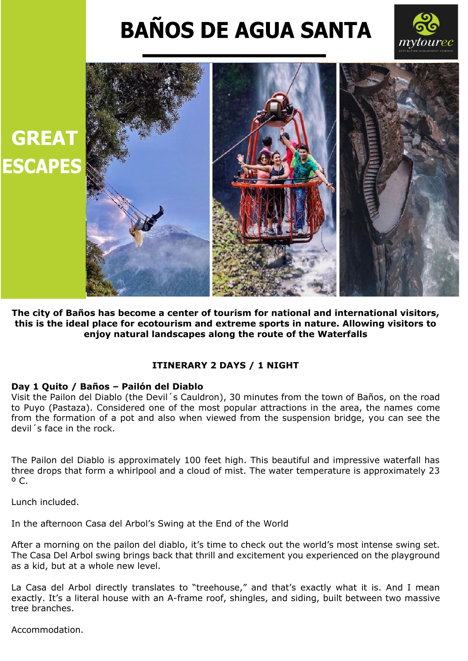## **BAÑOS DE AGUA SANTA**





**The city of Baños has become a center of tourism for national and international visitors, this is the ideal place for ecotourism and extreme sports in nature. Allowing visitors to enjoy natural landscapes along the route of the Waterfalls**

## **ITINERARY 2 DAYS / 1 NIGHT**

## **Day 1 Quito / Baños – Pailón del Diablo**

Visit the Pailon del Diablo (the Devil´s Cauldron), 30 minutes from the town of Baños, on the road to Puyo (Pastaza). Considered one of the most popular attractions in the area, the names come from the formation of a pot and also when viewed from the suspension bridge, you can see the devil´s face in the rock.

The Pailon del Diablo is approximately 100 feet high. This beautiful and impressive waterfall has three drops that form a whirlpool and a cloud of mist. The water temperature is approximately 23  $^{\circ}$  C.

Lunch included.

In the afternoon Casa del Arbol's Swing at the End of the World

After a morning on the pailon del diablo, it's time to check out the world's most intense swing set. The Casa Del Arbol swing brings back that thrill and excitement you experienced on the playground as a kid, but at a whole new level.

La Casa del Arbol directly translates to "treehouse," and that's exactly what it is. And I mean exactly. It's a literal house with an A-frame roof, shingles, and siding, built between two massive tree branches.

Accommodation.